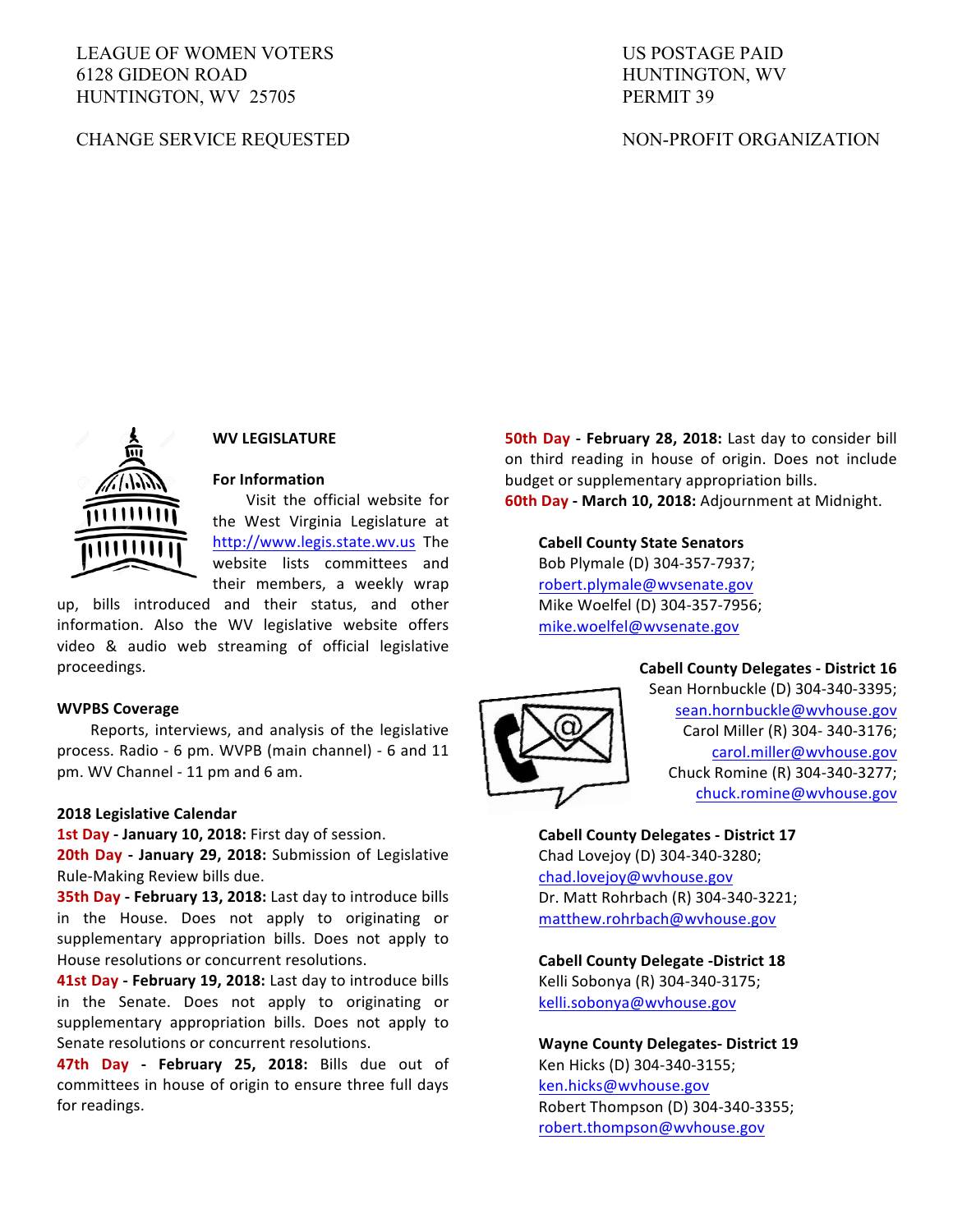# LEAGUE OF WOMEN VOTERS 6128 GIDEON ROAD HUNTINGTON, WV 25705

# CHANGE SERVICE REQUESTED

# US POSTAGE PAID HUNTINGTON, WV PERMIT 39

# NON-PROFIT ORGANIZATION



# **WV LEGISLATURE**

# **For Information**

Visit the official website for the West Virginia Legislature at http://www.legis.state.wv.us The website lists committees and their members, a weekly wrap

up, bills introduced and their status, and other information. Also the WV legislative website offers video & audio web streaming of official legislative proceedings. 

#### **WVPBS Coverage**

Reports, interviews, and analysis of the legislative process. Radio - 6 pm. WVPB (main channel) - 6 and 11 pm. WV Channel - 11 pm and 6 am.

#### **2018 Legislative Calendar**

1st Day - January 10, 2018: First day of session.

**20th Day - January 29, 2018:** Submission of Legislative Rule-Making Review bills due.

**35th Day - February 13, 2018:** Last day to introduce bills in the House. Does not apply to originating or supplementary appropriation bills. Does not apply to House resolutions or concurrent resolutions.

**41st Day - February 19, 2018:** Last day to introduce bills in the Senate. Does not apply to originating or supplementary appropriation bills. Does not apply to Senate resolutions or concurrent resolutions.

**47th Day - February 25, 2018:** Bills due out of committees in house of origin to ensure three full days for readings.

**50th Day - February 28, 2018:** Last day to consider bill on third reading in house of origin. Does not include budget or supplementary appropriation bills. **60th Day - March 10, 2018:** Adjournment at Midnight.

**Cabell County State Senators** Bob Plymale (D) 304-357-7937; robert.plymale@wvsenate.gov Mike Woelfel (D) 304-357-7956; mike.woelfel@wvsenate.gov

### **Cabell County Delegates - District 16**



Sean Hornbuckle (D) 304-340-3395; sean.hornbuckle@wvhouse.gov Carol Miller (R) 304- 340-3176; carol.miller@wvhouse.gov Chuck Romine (R) 304-340-3277; chuck.romine@wvhouse.gov

# **Cabell County Delegates - District 17**

Chad Lovejoy (D) 304-340-3280; chad.lovejoy@wvhouse.gov Dr. Matt Rohrbach (R) 304-340-3221; matthew.rohrbach@wvhouse.gov

**Cabell County Delegate -District 18** Kelli Sobonya (R) 304-340-3175; kelli.sobonya@wvhouse.gov

**Wayne County Delegates- District 19** Ken Hicks (D) 304-340-3155; ken.hicks@wvhouse.gov Robert Thompson (D) 304-340-3355; robert.thompson@wvhouse.gov